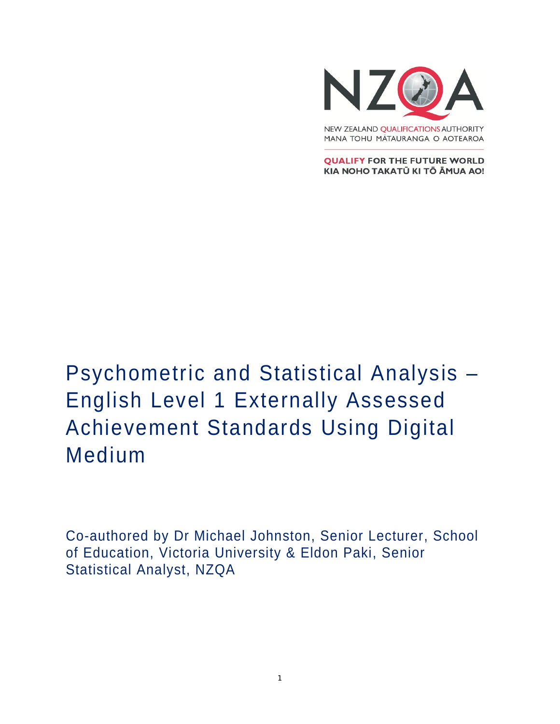

**QUALIFY FOR THE FUTURE WORLD** KIA NOHO TAKATŪ KI TŌ ĀMUA AO!

# Psychometric and Statistical Analysis – English Level 1 Externally Assessed Achievement Standards Using Digital Medium

Co-authored by Dr Michael Johnston, Senior Lecturer, School of Education, Victoria University & Eldon Paki, Senior Statistical Analyst, NZQA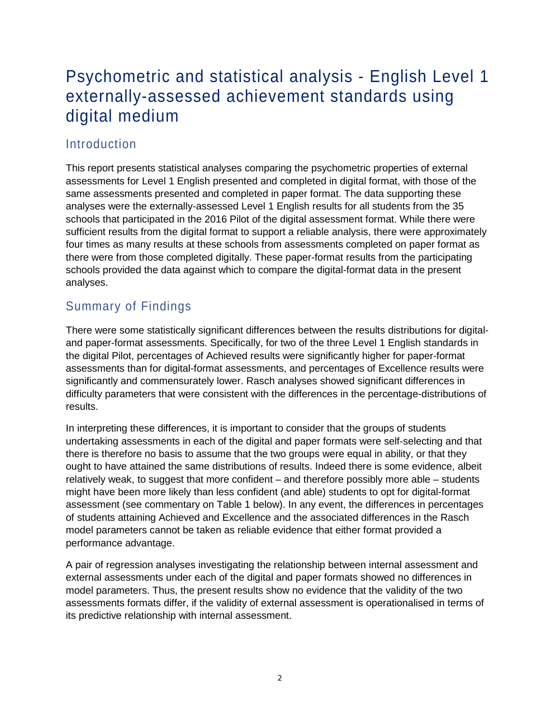# Psychometric and statistical analysis - English Level 1 externally-assessed achievement standards using digital medium

### **Introduction**

This report presents statistical analyses comparing the psychometric properties of external assessments for Level 1 English presented and completed in digital format, with those of the same assessments presented and completed in paper format. The data supporting these analyses were the externally-assessed Level 1 English results for all students from the 35 schools that participated in the 2016 Pilot of the digital assessment format. While there were sufficient results from the digital format to support a reliable analysis, there were approximately four times as many results at these schools from assessments completed on paper format as there were from those completed digitally. These paper-format results from the participating schools provided the data against which to compare the digital-format data in the present analyses.

## Summary of Findings

There were some statistically significant differences between the results distributions for digitaland paper-format assessments. Specifically, for two of the three Level 1 English standards in the digital Pilot, percentages of Achieved results were significantly higher for paper-format assessments than for digital-format assessments, and percentages of Excellence results were significantly and commensurately lower. Rasch analyses showed significant differences in difficulty parameters that were consistent with the differences in the percentage-distributions of results.

In interpreting these differences, it is important to consider that the groups of students undertaking assessments in each of the digital and paper formats were self-selecting and that there is therefore no basis to assume that the two groups were equal in ability, or that they ought to have attained the same distributions of results. Indeed there is some evidence, albeit relatively weak, to suggest that more confident – and therefore possibly more able – students might have been more likely than less confident (and able) students to opt for digital-format assessment (see commentary on Table 1 below). In any event, the differences in percentages of students attaining Achieved and Excellence and the associated differences in the Rasch model parameters cannot be taken as reliable evidence that either format provided a performance advantage.

A pair of regression analyses investigating the relationship between internal assessment and external assessments under each of the digital and paper formats showed no differences in model parameters. Thus, the present results show no evidence that the validity of the two assessments formats differ, if the validity of external assessment is operationalised in terms of its predictive relationship with internal assessment.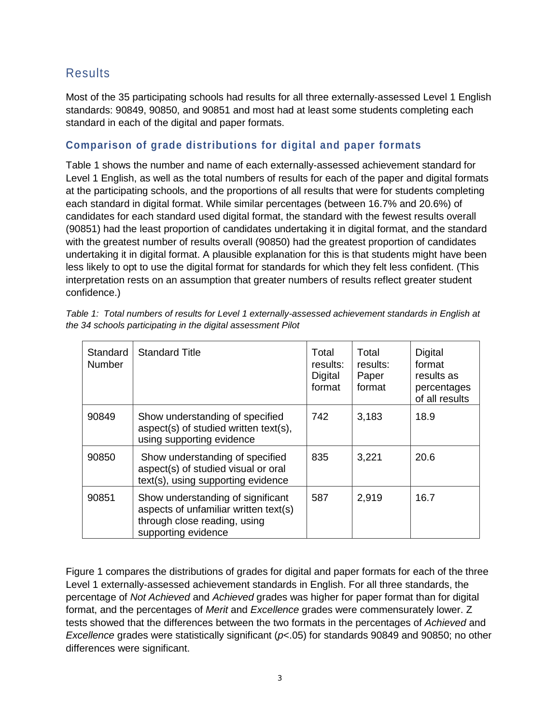#### Results

Most of the 35 participating schools had results for all three externally-assessed Level 1 English standards: 90849, 90850, and 90851 and most had at least some students completing each standard in each of the digital and paper formats.

#### **Comparison of grade distributions for digital and paper formats**

Table 1 shows the number and name of each externally-assessed achievement standard for Level 1 English, as well as the total numbers of results for each of the paper and digital formats at the participating schools, and the proportions of all results that were for students completing each standard in digital format. While similar percentages (between 16.7% and 20.6%) of candidates for each standard used digital format, the standard with the fewest results overall (90851) had the least proportion of candidates undertaking it in digital format, and the standard with the greatest number of results overall (90850) had the greatest proportion of candidates undertaking it in digital format. A plausible explanation for this is that students might have been less likely to opt to use the digital format for standards for which they felt less confident. (This interpretation rests on an assumption that greater numbers of results reflect greater student confidence.)

| Standard<br><b>Number</b> | <b>Standard Title</b>                                                                                                             | Total<br>results:<br>Digital<br>format | Total<br>results:<br>Paper<br>format | Digital<br>format<br>results as<br>percentages<br>of all results |
|---------------------------|-----------------------------------------------------------------------------------------------------------------------------------|----------------------------------------|--------------------------------------|------------------------------------------------------------------|
| 90849                     | Show understanding of specified<br>aspect(s) of studied written text(s),<br>using supporting evidence                             | 742                                    | 3,183                                | 18.9                                                             |
| 90850                     | Show understanding of specified<br>aspect(s) of studied visual or oral<br>text(s), using supporting evidence                      | 835                                    | 3,221                                | 20.6                                                             |
| 90851                     | Show understanding of significant<br>aspects of unfamiliar written text(s)<br>through close reading, using<br>supporting evidence | 587                                    | 2,919                                | 16.7                                                             |

*Table 1: Total numbers of results for Level 1 externally-assessed achievement standards in English at the 34 schools participating in the digital assessment Pilot*

Figure 1 compares the distributions of grades for digital and paper formats for each of the three Level 1 externally-assessed achievement standards in English. For all three standards, the percentage of *Not Achieved* and *Achieved* grades was higher for paper format than for digital format, and the percentages of *Merit* and *Excellence* grades were commensurately lower. Z tests showed that the differences between the two formats in the percentages of *Achieved* and *Excellence* grades were statistically significant (*p*<.05) for standards 90849 and 90850; no other differences were significant.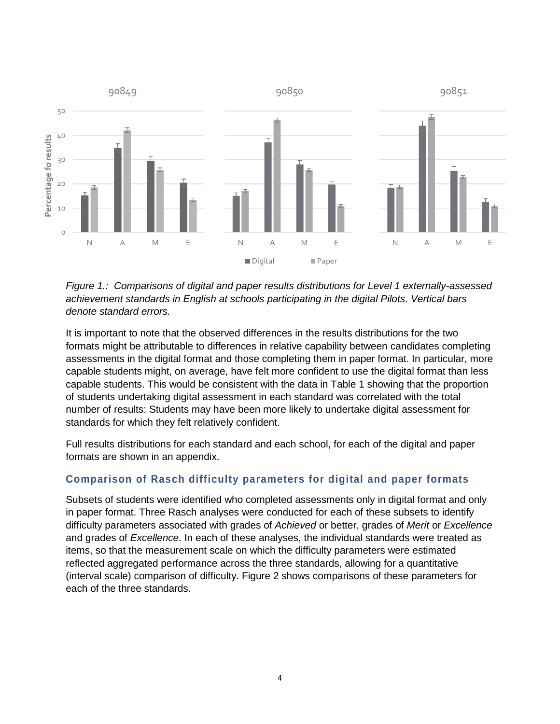

*Figure 1.: Comparisons of digital and paper results distributions for Level 1 externally-assessed achievement standards in English at schools participating in the digital Pilots. Vertical bars denote standard errors.* 

It is important to note that the observed differences in the results distributions for the two formats might be attributable to differences in relative capability between candidates completing assessments in the digital format and those completing them in paper format. In particular, more capable students might, on average, have felt more confident to use the digital format than less capable students. This would be consistent with the data in Table 1 showing that the proportion of students undertaking digital assessment in each standard was correlated with the total number of results: Students may have been more likely to undertake digital assessment for standards for which they felt relatively confident.

Full results distributions for each standard and each school, for each of the digital and paper formats are shown in an appendix.

#### **Comparison of Rasch difficulty parameters for digital and paper formats**

Subsets of students were identified who completed assessments only in digital format and only in paper format. Three Rasch analyses were conducted for each of these subsets to identify difficulty parameters associated with grades of *Achieved* or better, grades of *Merit* or *Excellence* and grades of *Excellence*. In each of these analyses, the individual standards were treated as items, so that the measurement scale on which the difficulty parameters were estimated reflected aggregated performance across the three standards, allowing for a quantitative (interval scale) comparison of difficulty. Figure 2 shows comparisons of these parameters for each of the three standards.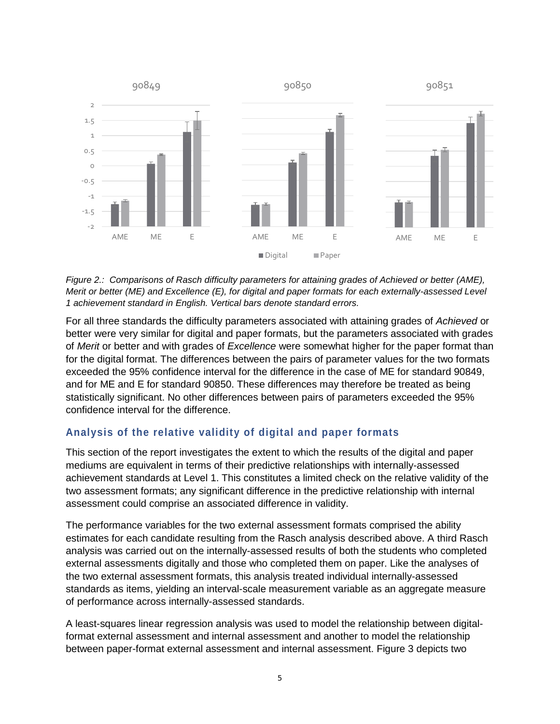

*Figure 2.: Comparisons of Rasch difficulty parameters for attaining grades of Achieved or better (AME), Merit or better (ME) and Excellence (E), for digital and paper formats for each externally-assessed Level 1 achievement standard in English. Vertical bars denote standard errors.*

For all three standards the difficulty parameters associated with attaining grades of *Achieved* or better were very similar for digital and paper formats, but the parameters associated with grades of *Merit* or better and with grades of *Excellence* were somewhat higher for the paper format than for the digital format. The differences between the pairs of parameter values for the two formats exceeded the 95% confidence interval for the difference in the case of ME for standard 90849, and for ME and E for standard 90850. These differences may therefore be treated as being statistically significant. No other differences between pairs of parameters exceeded the 95% confidence interval for the difference.

#### **Analysis of the relative validity of digital and paper formats**

This section of the report investigates the extent to which the results of the digital and paper mediums are equivalent in terms of their predictive relationships with internally-assessed achievement standards at Level 1. This constitutes a limited check on the relative validity of the two assessment formats; any significant difference in the predictive relationship with internal assessment could comprise an associated difference in validity.

The performance variables for the two external assessment formats comprised the ability estimates for each candidate resulting from the Rasch analysis described above. A third Rasch analysis was carried out on the internally-assessed results of both the students who completed external assessments digitally and those who completed them on paper. Like the analyses of the two external assessment formats, this analysis treated individual internally-assessed standards as items, yielding an interval-scale measurement variable as an aggregate measure of performance across internally-assessed standards.

A least-squares linear regression analysis was used to model the relationship between digitalformat external assessment and internal assessment and another to model the relationship between paper-format external assessment and internal assessment. Figure 3 depicts two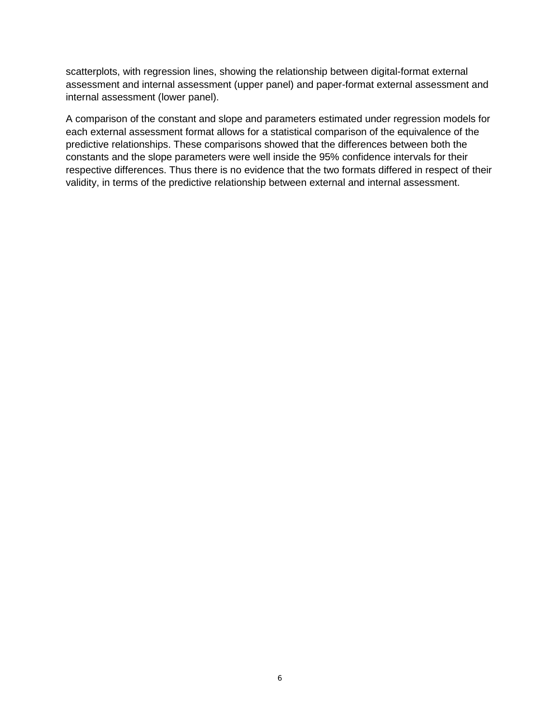scatterplots, with regression lines, showing the relationship between digital-format external assessment and internal assessment (upper panel) and paper-format external assessment and internal assessment (lower panel).

A comparison of the constant and slope and parameters estimated under regression models for each external assessment format allows for a statistical comparison of the equivalence of the predictive relationships. These comparisons showed that the differences between both the constants and the slope parameters were well inside the 95% confidence intervals for their respective differences. Thus there is no evidence that the two formats differed in respect of their validity, in terms of the predictive relationship between external and internal assessment.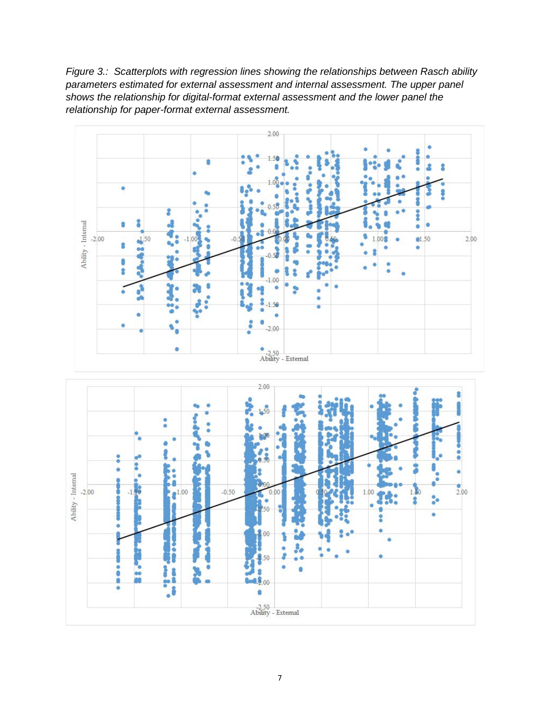*Figure 3.: Scatterplots with regression lines showing the relationships between Rasch ability parameters estimated for external assessment and internal assessment. The upper panel shows the relationship for digital-format external assessment and the lower panel the relationship for paper-format external assessment.* 

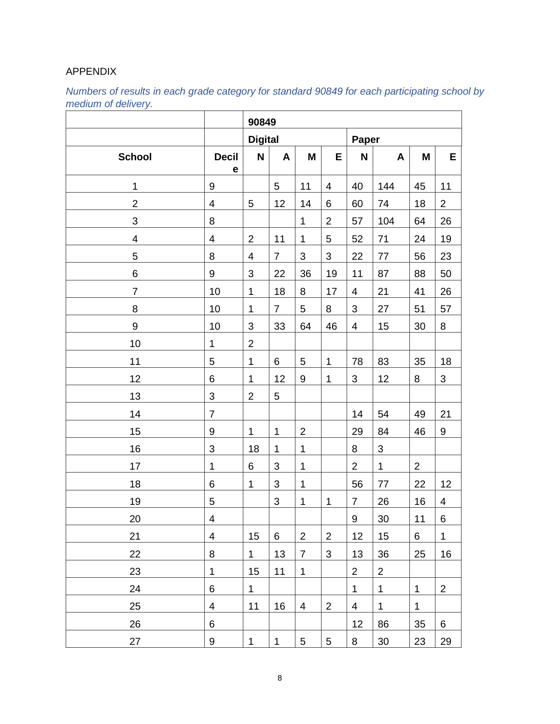#### APPENDIX

#### *Numbers of results in each grade category for standard 90849 for each participating school by medium of delivery.*

|                |                           | 90849                   |                           |                  |                           |                  |                 |                |                |  |  |
|----------------|---------------------------|-------------------------|---------------------------|------------------|---------------------------|------------------|-----------------|----------------|----------------|--|--|
|                |                           | <b>Digital</b>          |                           |                  |                           | Paper            |                 |                |                |  |  |
| <b>School</b>  | <b>Decil</b><br>е         | N                       | A                         | M                | Е                         | N                | A               | M              | E              |  |  |
| $\mathbf{1}$   | $\boldsymbol{9}$          |                         | 5                         | 11               | $\overline{4}$            | 40               | 144             | 45             | 11             |  |  |
| $\overline{2}$ | 4                         | $\sqrt{5}$              | 12                        | 14               | 6                         | 60               | 74              | 18             | $\overline{2}$ |  |  |
| $\mathbf{3}$   | 8                         |                         |                           | $\mathbf{1}$     | $\overline{2}$            | 57               | 104             | 64             | 26             |  |  |
| 4              | 4                         | $\overline{2}$          | 11                        | 1                | $\sqrt{5}$                | 52               | 71              | 24             | 19             |  |  |
| 5              | 8                         | $\overline{\mathbf{4}}$ | $\overline{7}$            | $\sqrt{3}$       | $\ensuremath{\mathsf{3}}$ | 22               | 77              | 56             | 23             |  |  |
| 6              | $\boldsymbol{9}$          | $\mathfrak{B}$          | 22                        | 36               | 19                        | 11               | 87              | 88             | 50             |  |  |
| $\overline{7}$ | 10                        | $\mathbf 1$             | 18                        | 8                | 17                        | $\overline{4}$   | 21              | 41             | 26             |  |  |
| 8              | 10                        | $\mathbf 1$             | $\overline{7}$            | 5                | 8                         | 3                | 27              | 51             | 57             |  |  |
| 9              | 10                        | 3                       | 33                        | 64               | 46                        | 4                | 15              | 30             | 8              |  |  |
| 10             | $\mathbf{1}$              | $\mathbf 2$             |                           |                  |                           |                  |                 |                |                |  |  |
| 11             | 5                         | $\mathbf{1}$            | 6                         | $\sqrt{5}$       | $\mathbf 1$               | 78               | 83              | 35             | 18             |  |  |
| 12             | $\,6\,$                   | 1                       | 12                        | $\boldsymbol{9}$ | $\mathbf 1$               | $\mathbf{3}$     | 12              | 8              | $\mathbf{3}$   |  |  |
| 13             | $\ensuremath{\mathsf{3}}$ | $\overline{2}$          | 5                         |                  |                           |                  |                 |                |                |  |  |
| 14             | $\overline{7}$            |                         |                           |                  |                           | 14               | 54              | 49             | 21             |  |  |
| 15             | $\boldsymbol{9}$          | $\mathbf{1}$            | $\mathbf{1}$              | $\overline{2}$   |                           | 29               | 84              | 46             | 9              |  |  |
| 16             | $\mathsf 3$               | 18                      | $\mathbf{1}$              | $\mathbf{1}$     |                           | 8                | 3               |                |                |  |  |
| 17             | $\mathbf{1}$              | 6                       | 3                         | $\mathbf 1$      |                           | $\overline{2}$   | $\mathbf 1$     | $\overline{2}$ |                |  |  |
| 18             | $\,6\,$                   | $\mathbf 1$             | $\ensuremath{\mathsf{3}}$ | $\mathbf 1$      |                           | 56               | 77              | 22             | 12             |  |  |
| 19             | $\mathbf 5$               |                         | $\sqrt{3}$                | $\mathbf 1$      | $\mathbf 1$               | $\overline{7}$   | 26              | 16             | 4              |  |  |
| 20             | 4                         |                         |                           |                  |                           | $\boldsymbol{9}$ | $30\,$          | 11             | $\,6\,$        |  |  |
| 21             | $\overline{4}$            | 15                      | 6                         | 2                | 2                         | 12               | 15              | 6              | $\mathbf{1}$   |  |  |
| 22             | 8                         | $\mathbf{1}$            | 13                        | $\overline{7}$   | 3                         | 13               | 36              | 25             | 16             |  |  |
| 23             | $\mathbf 1$               | 15                      | 11                        | $\overline{1}$   |                           | 2 <sup>1</sup>   | $2\overline{)}$ |                |                |  |  |
| 24             | 6                         | $\mathbf 1$             |                           |                  |                           | $\mathbf{1}$     | $\mathbf{1}$    | $\mathbf{1}$   | $\overline{2}$ |  |  |
| 25             | 4                         | 11                      | 16                        | 4                | $\overline{2}$            | 4                | $\mathbf{1}$    | $\mathbf{1}$   |                |  |  |
| 26             | 6                         |                         |                           |                  |                           | 12               | 86              | 35             | 6              |  |  |
| 27             | 9                         | 1                       | $\mathbf{1}$              | 5                | 5                         | 8                | 30              | 23             | 29             |  |  |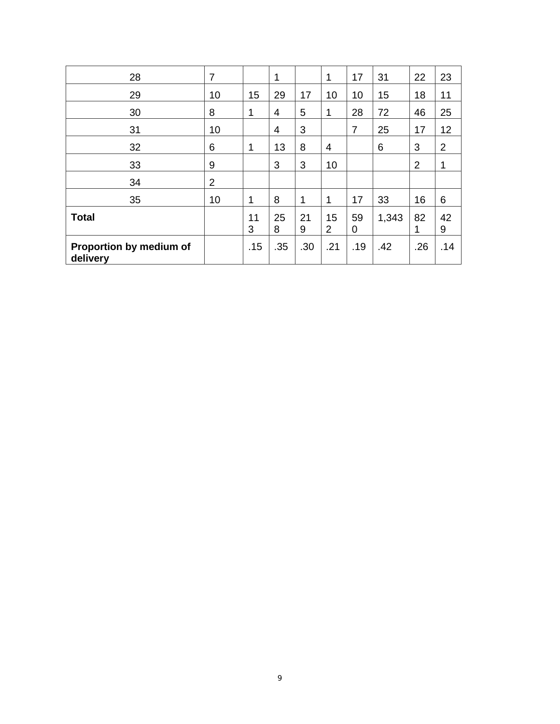| 28                                  | $\overline{7}$ |         | 1              |         | 1                    | 17             | 31    | 22             | 23             |
|-------------------------------------|----------------|---------|----------------|---------|----------------------|----------------|-------|----------------|----------------|
| 29                                  | 10             | 15      | 29             | 17      | 10                   | 10             | 15    | 18             | 11             |
| 30                                  | 8              | 1       | $\overline{4}$ | 5       | 1                    | 28             | 72    | 46             | 25             |
| 31                                  | 10             |         | $\overline{4}$ | 3       |                      | $\overline{7}$ | 25    | 17             | 12             |
| 32                                  | 6              | 1       | 13             | 8       | 4                    |                | 6     | 3              | $\overline{2}$ |
| 33                                  | 9              |         | 3              | 3       | 10                   |                |       | $\overline{2}$ | 1              |
| 34                                  | $\overline{2}$ |         |                |         |                      |                |       |                |                |
| 35                                  | 10             | 1       | 8              | 1       | 1                    | 17             | 33    | 16             | 6              |
| <b>Total</b>                        |                | 11<br>3 | 25<br>8        | 21<br>9 | 15<br>$\overline{2}$ | 59<br>0        | 1,343 | 82<br>1        | 42<br>9        |
| Proportion by medium of<br>delivery |                | .15     | .35            | .30     | .21                  | .19            | .42   | .26            | .14            |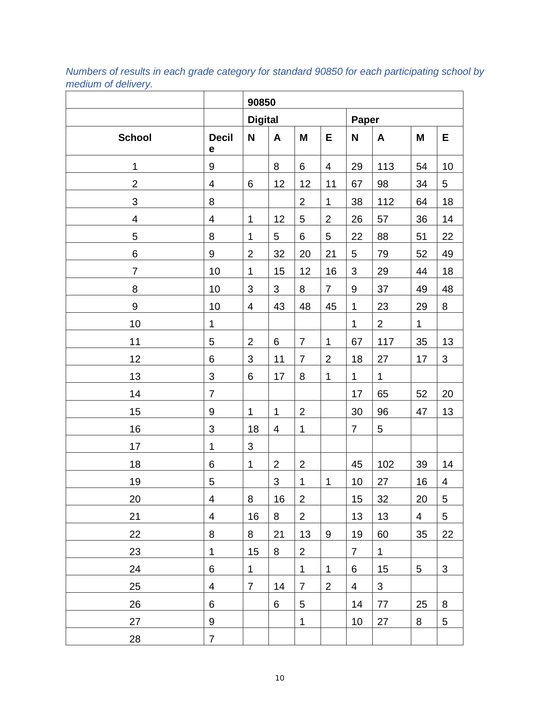*Numbers of results in each grade category for standard 90850 for each participating school by medium of delivery.* 

|                  |                         | 90850                   |                          |                |                |                |                |                |                           |  |
|------------------|-------------------------|-------------------------|--------------------------|----------------|----------------|----------------|----------------|----------------|---------------------------|--|
|                  |                         | <b>Digital</b>          |                          |                |                | Paper          |                |                |                           |  |
| <b>School</b>    | <b>Decil</b><br>е       | $\mathsf{N}$            | A                        | M              | E              | N              | A              | M              | E                         |  |
| $\mathbf 1$      | $\boldsymbol{9}$        |                         | 8                        | 6              | $\overline{4}$ | 29             | 113            | 54             | 10                        |  |
| $\overline{2}$   | $\overline{\mathbf{4}}$ | 6                       | 12                       | 12             | 11             | 67             | 98             | 34             | 5                         |  |
| $\mathfrak{S}$   | 8                       |                         |                          | $\overline{2}$ | $\mathbf 1$    | 38             | 112            | 64             | 18                        |  |
| $\overline{4}$   | 4                       | $\mathbf{1}$            | 12                       | 5              | $\overline{2}$ | 26             | 57             | 36             | 14                        |  |
| 5                | 8                       | $\mathbf 1$             | 5                        | 6              | 5              | 22             | 88             | 51             | 22                        |  |
| $\,6$            | $\boldsymbol{9}$        | $\overline{2}$          | 32                       | 20             | 21             | 5              | 79             | 52             | 49                        |  |
| $\overline{7}$   | 10                      | $\mathbf{1}$            | 15                       | 12             | 16             | 3              | 29             | 44             | 18                        |  |
| 8                | 10                      | $\sqrt{3}$              | 3                        | 8              | $\overline{7}$ | 9              | 37             | 49             | 48                        |  |
| $\boldsymbol{9}$ | 10                      | $\overline{\mathbf{4}}$ | 43                       | 48             | 45             | 1              | 23             | 29             | 8                         |  |
| 10               | $\mathbf 1$             |                         |                          |                |                | 1              | $\overline{2}$ | 1              |                           |  |
| 11               | 5                       | $\overline{2}$          | $\,6\,$                  | $\overline{7}$ | 1              | 67             | 117            | 35             | 13                        |  |
| 12               | 6                       | $\sqrt{3}$              | 11                       | $\overline{7}$ | $\overline{2}$ | 18             | 27             | 17             | 3                         |  |
| 13               | 3                       | 6                       | 17                       | 8              | 1              | 1              | $\mathbf 1$    |                |                           |  |
| 14               | $\overline{7}$          |                         |                          |                |                | 17             | 65             | 52             | 20                        |  |
| 15               | $\boldsymbol{9}$        | $\mathbf{1}$            | $\mathbf{1}$             | $\overline{2}$ |                | 30             | 96             | 47             | 13                        |  |
| 16               | 3                       | 18                      | $\overline{\mathcal{A}}$ | $\mathbf 1$    |                | $\overline{7}$ | 5              |                |                           |  |
| 17               | $\mathbf 1$             | $\mathsf 3$             |                          |                |                |                |                |                |                           |  |
| 18               | 6                       | $\mathbf 1$             | $\overline{2}$           | $\overline{c}$ |                | 45             | 102            | 39             | 14                        |  |
| 19               | 5                       |                         | 3                        | $\mathbf 1$    | 1              | 10             | 27             | 16             | 4                         |  |
| 20               | $\overline{4}$          | 8                       | 16                       | $\overline{2}$ |                | 15             | 32             | 20             | 5                         |  |
| 21               | 4                       | 16                      | 8                        | $\overline{2}$ |                | 13             | 13             | $\overline{4}$ | 5                         |  |
| 22               | 8                       | 8                       | 21                       | 13             | 9              | 19             | 60             | 35             | 22                        |  |
| 23               | $\mathbf{1}$            | 15                      | 8                        | $\overline{2}$ |                | $\overline{7}$ | $\mathbf 1$    |                |                           |  |
| 24               | 6                       | $\mathbf 1$             |                          | $\mathbf 1$    | 1              | 6              | 15             | 5              | $\ensuremath{\mathsf{3}}$ |  |
| 25               | $\overline{\mathbf{4}}$ | $\overline{7}$          | 14                       | $\overline{7}$ | $\overline{2}$ | 4              | $\mathbf{3}$   |                |                           |  |
| 26               | 6                       |                         | 6                        | 5              |                | 14             | 77             | 25             | 8                         |  |
| 27               | $\boldsymbol{9}$        |                         |                          | $\mathbf 1$    |                | 10             | 27             | 8              | 5                         |  |
| 28               | $\overline{7}$          |                         |                          |                |                |                |                |                |                           |  |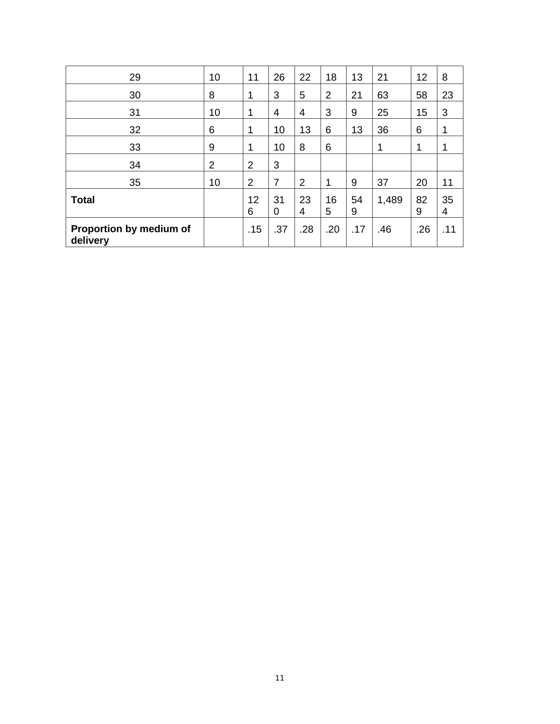| 29                                  | 10             | 11             | 26             | 22             | 18             | 13      | 21    | 12      | 8       |
|-------------------------------------|----------------|----------------|----------------|----------------|----------------|---------|-------|---------|---------|
| 30                                  | 8              | 1              | 3              | 5              | $\overline{2}$ | 21      | 63    | 58      | 23      |
| 31                                  | 10             | 1              | 4              | 4              | 3              | 9       | 25    | 15      | 3       |
| 32                                  | 6              | 1              | 10             | 13             | 6              | 13      | 36    | 6       |         |
| 33                                  | 9              | 1              | 10             | 8              | 6              |         | 1     | 1       |         |
| 34                                  | $\overline{2}$ | 2              | 3              |                |                |         |       |         |         |
| 35                                  | 10             | $\overline{2}$ | $\overline{7}$ | $\overline{2}$ | 1              | 9       | 37    | 20      | 11      |
| <b>Total</b>                        |                | 12<br>6        | 31<br>0        | 23<br>4        | 16<br>5        | 54<br>9 | 1,489 | 82<br>9 | 35<br>4 |
| Proportion by medium of<br>delivery |                | .15            | .37            | .28            | .20            | .17     | .46   | .26     | .11     |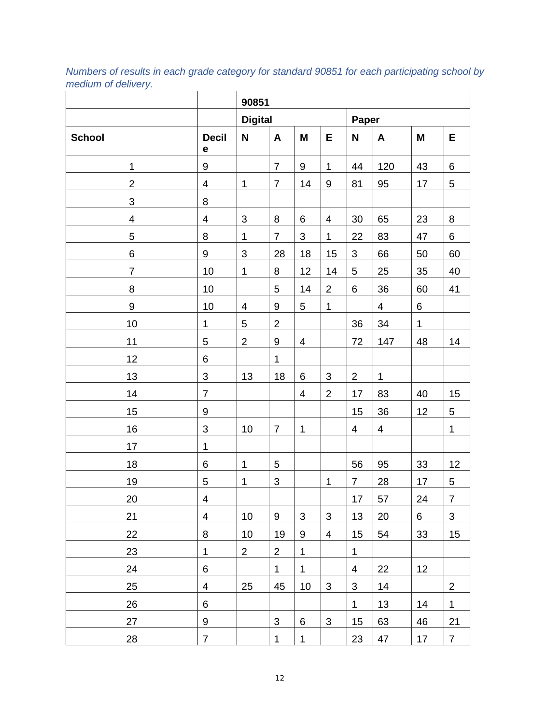*Numbers of results in each grade category for standard 90851 for each participating school by medium of delivery.*

|                           |                           | 90851                   |                           |                |                           |                          |                |              |                |  |  |
|---------------------------|---------------------------|-------------------------|---------------------------|----------------|---------------------------|--------------------------|----------------|--------------|----------------|--|--|
|                           |                           | <b>Digital</b>          |                           |                |                           | Paper                    |                |              |                |  |  |
| <b>School</b>             | <b>Decil</b><br>e         | N                       | A                         | M              | E                         | N                        | A              | M            | E              |  |  |
| $\mathbf{1}$              | $\boldsymbol{9}$          |                         | $\overline{7}$            | 9              | $\mathbf{1}$              | 44                       | 120            | 43           | 6              |  |  |
| $\overline{2}$            | $\overline{\mathbf{4}}$   | $\mathbf 1$             | $\overline{7}$            | 14             | 9                         | 81                       | 95             | 17           | 5              |  |  |
| $\ensuremath{\mathsf{3}}$ | 8                         |                         |                           |                |                           |                          |                |              |                |  |  |
| $\overline{\mathcal{A}}$  | $\overline{\mathbf{4}}$   | $\mathfrak{B}$          | 8                         | 6              | $\overline{\mathbf{4}}$   | 30                       | 65             | 23           | 8              |  |  |
| 5                         | $\bf 8$                   | $\mathbf{1}$            | $\overline{7}$            | 3              | $\mathbf 1$               | 22                       | 83             | 47           | 6              |  |  |
| $\,6$                     | $\boldsymbol{9}$          | $\mathsf 3$             | 28                        | 18             | 15                        | 3                        | 66             | 50           | 60             |  |  |
| $\overline{7}$            | 10                        | $\mathbf{1}$            | 8                         | 12             | 14                        | 5                        | 25             | 35           | 40             |  |  |
| 8                         | 10                        |                         | 5                         | 14             | $\overline{2}$            | 6                        | 36             | 60           | 41             |  |  |
| $\boldsymbol{9}$          | 10                        | $\overline{\mathbf{4}}$ | $\boldsymbol{9}$          | 5              | 1                         |                          | $\overline{4}$ | 6            |                |  |  |
| 10                        | $\mathbf{1}$              | 5                       | $\overline{2}$            |                |                           | 36                       | 34             | $\mathbf{1}$ |                |  |  |
| 11                        | $\sqrt{5}$                | $\overline{2}$          | $\boldsymbol{9}$          | 4              |                           | 72                       | 147            | 48           | 14             |  |  |
| 12                        | $\,6$                     |                         | $\mathbf{1}$              |                |                           |                          |                |              |                |  |  |
| 13                        | $\ensuremath{\mathsf{3}}$ | 13                      | 18                        | 6              | $\ensuremath{\mathsf{3}}$ | $\overline{2}$           | $\mathbf 1$    |              |                |  |  |
| 14                        | $\overline{7}$            |                         |                           | 4              | $\overline{2}$            | 17                       | 83             | 40           | 15             |  |  |
| 15                        | $\boldsymbol{9}$          |                         |                           |                |                           | 15                       | 36             | 12           | 5              |  |  |
| 16                        | $\ensuremath{\mathsf{3}}$ | 10                      | $\overline{7}$            | $\mathbf 1$    |                           | $\overline{4}$           | 4              |              | $\mathbf 1$    |  |  |
| 17                        | $\mathbf{1}$              |                         |                           |                |                           |                          |                |              |                |  |  |
| 18                        | 6                         | $\mathbf 1$             | 5                         |                |                           | 56                       | 95             | 33           | 12             |  |  |
| 19                        | 5                         | 1                       | $\mathsf 3$               |                | $\mathbf 1$               | $\overline{7}$           | 28             | 17           | 5              |  |  |
| 20                        | $\overline{\mathcal{A}}$  |                         |                           |                |                           | 17                       | 57             | 24           | $\overline{7}$ |  |  |
| 21                        | $\overline{4}$            | 10                      | 9                         | $\mathfrak{S}$ | $\mathfrak{B}$            | 13                       | 20             | 6            | 3              |  |  |
| 22                        | 8                         | 10                      | 19                        | 9              | 4                         | 15                       | 54             | 33           | 15             |  |  |
| 23                        | $\mathbf{1}$              | $\overline{2}$          | $\overline{2}$            | $\mathbf{1}$   |                           | $\mathbf{1}$             |                |              |                |  |  |
| 24                        | 6                         |                         | $\mathbf{1}$              | $\mathbf 1$    |                           | $\overline{\mathcal{A}}$ | 22             | 12           |                |  |  |
| 25                        | $\overline{4}$            | 25                      | 45                        | 10             | 3                         | $\mathfrak{S}$           | 14             |              | $\overline{2}$ |  |  |
| 26                        | $\,6\,$                   |                         |                           |                |                           | $\mathbf{1}$             | 13             | 14           | $\mathbf{1}$   |  |  |
| 27                        | $\boldsymbol{9}$          |                         | $\ensuremath{\mathsf{3}}$ | 6              | $\sqrt{3}$                | 15                       | 63             | 46           | 21             |  |  |
| 28                        | $\overline{7}$            |                         | $\mathbf{1}$              | $\mathbf 1$    |                           | 23                       | 47             | 17           | $\overline{7}$ |  |  |